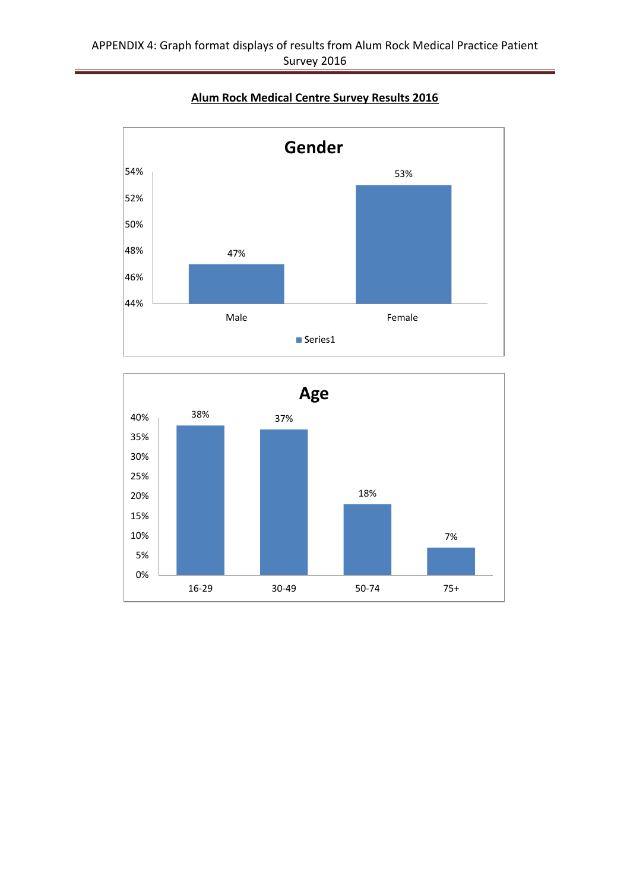

## **Alum Rock Medical Centre Survey Results 2016**

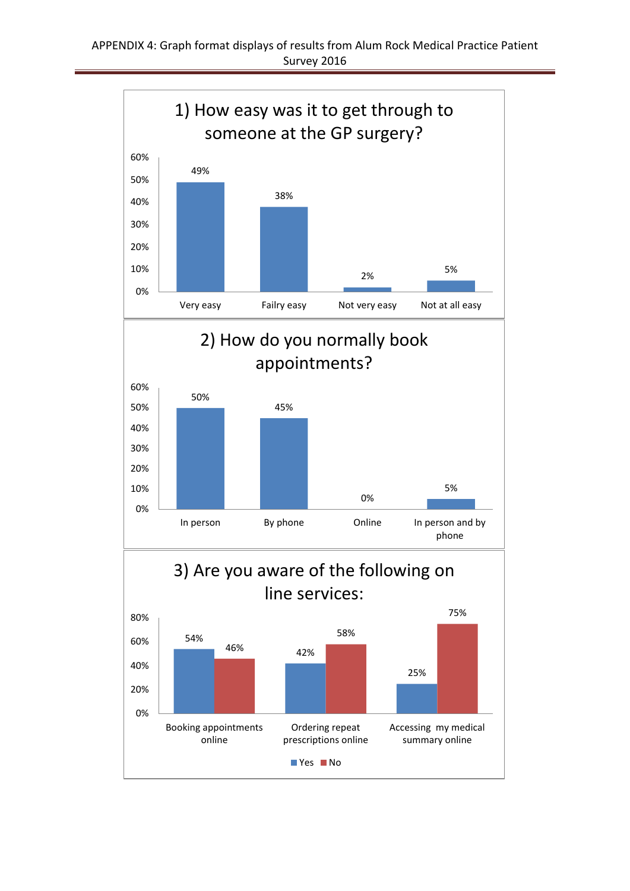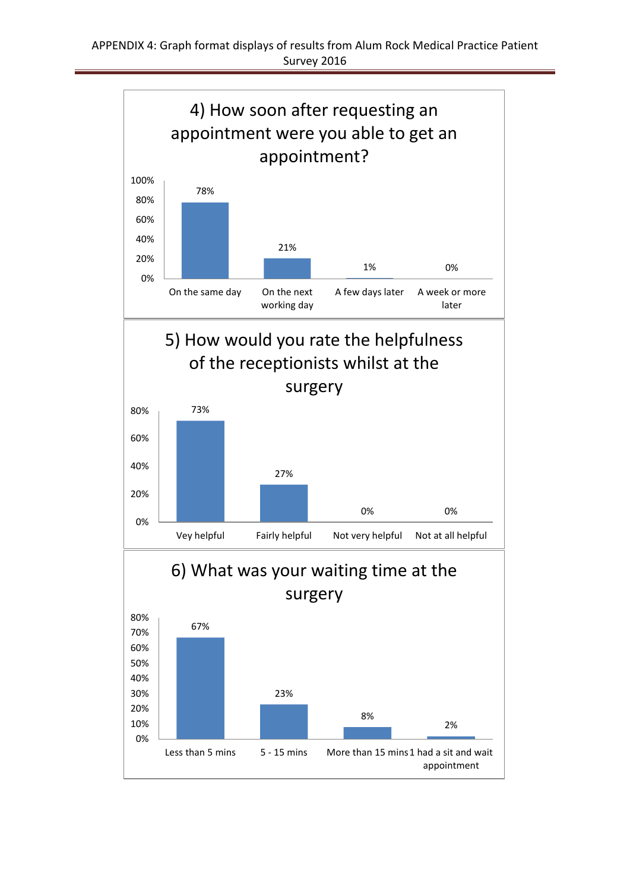